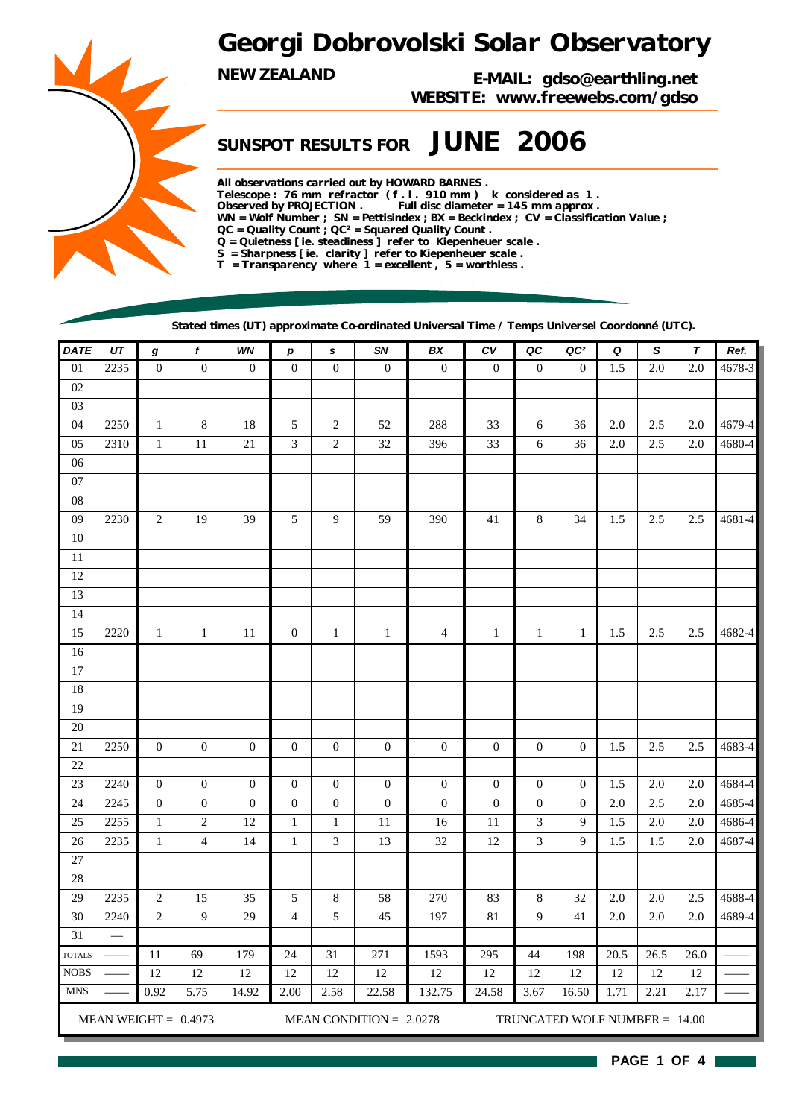# *Georgi Dobrovolski Solar Observatory*

*NEW ZEALAND E-MAIL: gdso@earthling.net WEBSITE: www.freewebs.com/gdso*

## *SUNSPOT RESULTS FOR JUNE 2006*

*All observations carried out by HOWARD BARNES . Telescope : 76 mm refractor ( f . l . 910 mm ) k considered as 1 . Observed by PROJECTION . Full disc diameter = 145 mm approx . WN = Wolf Number ; SN = Pettisindex ; BX = Beckindex ; CV = Classification Value ; QC = Quality Count ; QC² = Squared Quality Count . Q = Quietness [ ie. steadiness ] refer to Kiepenheuer scale . S = Sharpness [ ie. clarity ] refer to Kiepenheuer scale . T = Transparency where 1 = excellent , 5 = worthless .*

*Stated times (UT) approximate Co-ordinated Universal Time / Temps Universel Coordonné (UTC).*

| <b>DATE</b>     | UT   | $\boldsymbol{g}$ | $\boldsymbol{f}$       | WN               | $\boldsymbol{p}$ | s                           | SN                        | BX               | ${\cal C}{\cal V}$ | QC                          | QC <sup>2</sup>               | Q      | S                | $\pmb{\tau}$ | Ref.   |
|-----------------|------|------------------|------------------------|------------------|------------------|-----------------------------|---------------------------|------------------|--------------------|-----------------------------|-------------------------------|--------|------------------|--------------|--------|
| $\overline{01}$ | 2235 | $\overline{0}$   | $\overline{0}$         | $\boldsymbol{0}$ | $\mathbf{0}$     | $\overline{0}$              | $\overline{0}$            | $\overline{0}$   | $\overline{0}$     | $\boldsymbol{0}$            | $\boldsymbol{0}$              | 1.5    | $\overline{2.0}$ | 2.0          | 4678-3 |
| $02\,$          |      |                  |                        |                  |                  |                             |                           |                  |                    |                             |                               |        |                  |              |        |
| 03              |      |                  |                        |                  |                  |                             |                           |                  |                    |                             |                               |        |                  |              |        |
| 04              | 2250 | $\mathbf{1}$     | $\,8\,$                | 18               | 5                | $\sqrt{2}$                  | 52                        | 288              | 33                 | 6                           | 36                            | 2.0    | 2.5              | $2.0\,$      | 4679-4 |
| 05              | 2310 | $\mathbf 1$      | 11                     | 21               | 3                | $\sqrt{2}$                  | 32                        | 396              | 33                 | 6                           | 36                            | 2.0    | 2.5              | $2.0\,$      | 4680-4 |
| 06              |      |                  |                        |                  |                  |                             |                           |                  |                    |                             |                               |        |                  |              |        |
| 07              |      |                  |                        |                  |                  |                             |                           |                  |                    |                             |                               |        |                  |              |        |
| 08              |      |                  |                        |                  |                  |                             |                           |                  |                    |                             |                               |        |                  |              |        |
| 09              | 2230 | $\sqrt{2}$       | 19                     | 39               | 5                | $\overline{9}$              | 59                        | 390              | 41                 | 8                           | 34                            | 1.5    | 2.5              | 2.5          | 4681-4 |
| $10\,$          |      |                  |                        |                  |                  |                             |                           |                  |                    |                             |                               |        |                  |              |        |
| $11\,$          |      |                  |                        |                  |                  |                             |                           |                  |                    |                             |                               |        |                  |              |        |
| $12\,$          |      |                  |                        |                  |                  |                             |                           |                  |                    |                             |                               |        |                  |              |        |
| 13              |      |                  |                        |                  |                  |                             |                           |                  |                    |                             |                               |        |                  |              |        |
| 14              |      |                  |                        |                  |                  |                             |                           |                  |                    |                             |                               |        |                  |              |        |
| 15              | 2220 | $\mathbf{1}$     | $\mathbf{1}$           | 11               | $\boldsymbol{0}$ | $\mathbf{1}$                | $\mathbf{1}$              | $\overline{4}$   | $\mathbf{1}$       | $\mathbf{1}$                | $\mathbf{1}$                  | 1.5    | 2.5              | 2.5          | 4682-4 |
| 16              |      |                  |                        |                  |                  |                             |                           |                  |                    |                             |                               |        |                  |              |        |
| $17\,$          |      |                  |                        |                  |                  |                             |                           |                  |                    |                             |                               |        |                  |              |        |
| 18              |      |                  |                        |                  |                  |                             |                           |                  |                    |                             |                               |        |                  |              |        |
| 19              |      |                  |                        |                  |                  |                             |                           |                  |                    |                             |                               |        |                  |              |        |
| 20              |      |                  |                        |                  |                  |                             |                           |                  |                    |                             |                               |        |                  |              |        |
| $21\,$          | 2250 | $\boldsymbol{0}$ | $\boldsymbol{0}$       | $\boldsymbol{0}$ | $\boldsymbol{0}$ | $\boldsymbol{0}$            | $\mathbf{0}$              | $\boldsymbol{0}$ | $\boldsymbol{0}$   | $\boldsymbol{0}$            | $\overline{0}$                | 1.5    | 2.5              | 2.5          | 4683-4 |
| 22              |      |                  |                        |                  |                  |                             |                           |                  |                    |                             |                               |        |                  |              |        |
| 23              | 2240 | $\boldsymbol{0}$ | $\boldsymbol{0}$       | $\boldsymbol{0}$ | $\mathbf{0}$     | $\boldsymbol{0}$            | $\mathbf{0}$              | $\boldsymbol{0}$ | $\boldsymbol{0}$   | $\boldsymbol{0}$            | $\mathbf{0}$                  | 1.5    | 2.0              | $2.0\,$      | 4684-4 |
| 24              | 2245 | $\boldsymbol{0}$ | $\boldsymbol{0}$       | $\boldsymbol{0}$ | $\boldsymbol{0}$ | $\boldsymbol{0}$            | $\boldsymbol{0}$          | $\boldsymbol{0}$ | $\boldsymbol{0}$   | $\boldsymbol{0}$            | $\mathbf{0}$                  | 2.0    | 2.5              | $2.0\,$      | 4685-4 |
| 25              | 2255 | $\,1$            | $\sqrt{2}$             | $12\,$           | $\mathbf{1}$     | $1\,$                       | 11                        | 16               | 11                 | $\ensuremath{\mathfrak{Z}}$ | 9                             | 1.5    | $2.0\,$          | 2.0          | 4686-4 |
| 26              | 2235 | $\mathbf{1}$     | $\overline{4}$         | 14               | $\mathbf{1}$     | $\ensuremath{\mathfrak{Z}}$ | 13                        | 32               | 12                 | 3                           | 9                             | 1.5    | 1.5              | $2.0$        | 4687-4 |
| 27              |      |                  |                        |                  |                  |                             |                           |                  |                    |                             |                               |        |                  |              |        |
| 28              |      |                  |                        |                  |                  |                             |                           |                  |                    |                             |                               |        |                  |              |        |
| 29              | 2235 | $\boldsymbol{2}$ | 15                     | 35               | 5                | $\,8\,$                     | 58                        | 270              | 83                 | 8                           | 32                            | 2.0    | 2.0              | $2.5\,$      | 4688-4 |
| 30              | 2240 | $\mathfrak{2}$   | $\overline{9}$         | 29               | $\overline{4}$   | 5                           | 45                        | 197              | $81\,$             | 9                           | 41                            | 2.0    | 2.0              | $2.0$        | 4689-4 |
| 31              |      |                  |                        |                  |                  |                             |                           |                  |                    |                             |                               |        |                  |              |        |
| <b>TOTALS</b>   |      | 11               | 69                     | 179              | 24               | 31                          | 271                       | 1593             | 295                | 44                          | 198                           | 20.5   | 26.5             | 26.0         |        |
| <b>NOBS</b>     |      | 12               | 12                     | 12               | 12               | 12                          | 12                        | 12               | 12                 | 12                          | 12                            | $12\,$ | 12               | 12           |        |
| <b>MNS</b>      |      | 0.92             | 5.75                   | 14.92            | 2.00             | 2.58                        | 22.58                     | 132.75           | 24.58              | 3.67                        | 16.50                         | 1.71   | 2.21             | 2.17         |        |
|                 |      |                  | MEAN WEIGHT = $0.4973$ |                  |                  |                             | MEAN CONDITION = $2.0278$ |                  |                    |                             | TRUNCATED WOLF NUMBER = 14.00 |        |                  |              |        |

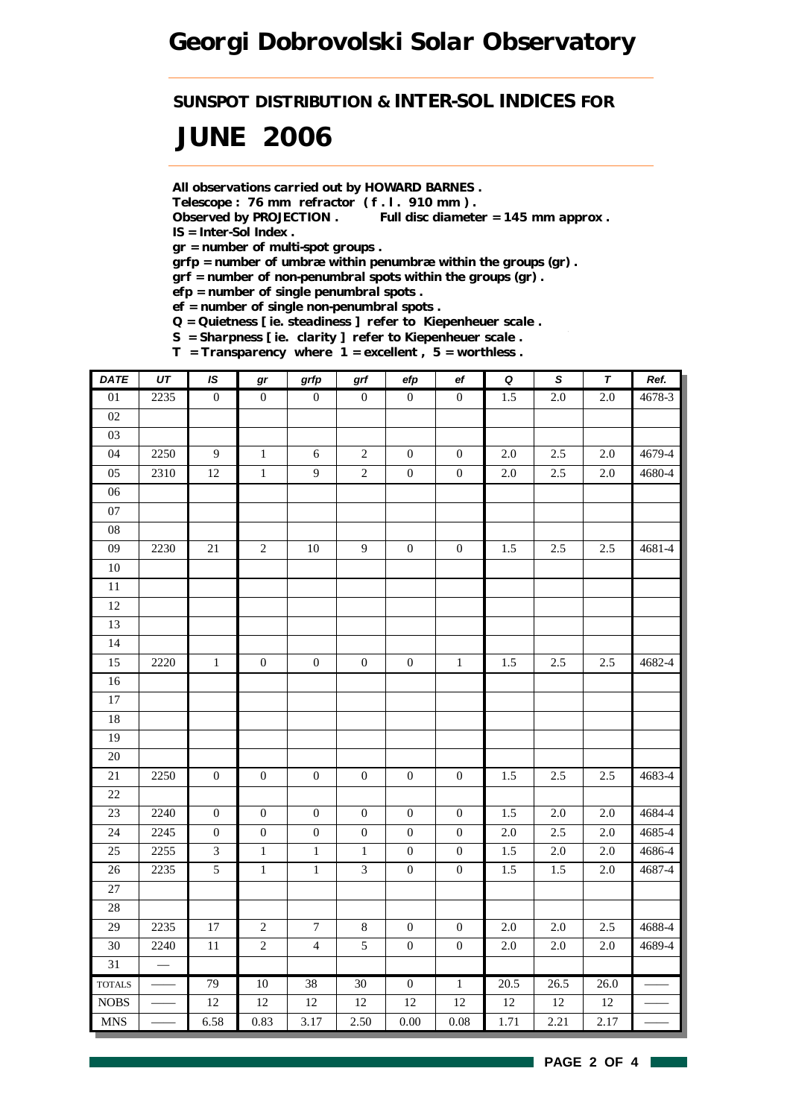*SUNSPOT DISTRIBUTION & INTER-SOL INDICES FOR*

# *JUNE 2006*

*All observations carried out by HOWARD BARNES .*

*Telescope : 76 mm refractor ( f . l . 910 mm ) .*

*Observed by PROJECTION . Full disc diameter = 145 mm approx . IS = Inter-Sol Index .*

*gr = number of multi-spot groups .*

*grfp = number of umbræ within penumbræ within the groups (gr) .*

*grf = number of non-penumbral spots within the groups (gr) .*

*efp = number of single penumbral spots .*

*ef = number of single non-penumbral spots .*

*Q = Quietness [ ie. steadiness ] refer to Kiepenheuer scale .*

*S = Sharpness [ ie. clarity ] refer to Kiepenheuer scale .*

*T = Transparency where 1 = excellent , 5 = worthless .*

| DATE            | $U\mathcal{T}$           | IS               | gr               | grfp             | $\operatorname{\textsf{grf}}$ | efp              | ef               | $\pmb Q$         | $\mathsf S$      | $\pmb{\tau}$     | Ref.       |
|-----------------|--------------------------|------------------|------------------|------------------|-------------------------------|------------------|------------------|------------------|------------------|------------------|------------|
| $\overline{01}$ | 2235                     | $\overline{0}$   | $\overline{0}$   | $\boldsymbol{0}$ | $\boldsymbol{0}$              | $\overline{0}$   | $\overline{0}$   | $\overline{1.5}$ | $\overline{2.0}$ | $\overline{2.0}$ | $4678 - 3$ |
| 02              |                          |                  |                  |                  |                               |                  |                  |                  |                  |                  |            |
| 03              |                          |                  |                  |                  |                               |                  |                  |                  |                  |                  |            |
| 04              | 2250                     | $\overline{9}$   | $\,1\,$          | 6                | $\sqrt{2}$                    | $\boldsymbol{0}$ | $\boldsymbol{0}$ | $2.0\,$          | 2.5              | $2.0\,$          | 4679-4     |
| 05              | 2310                     | 12               | $\,1$            | 9                | $\sqrt{2}$                    | $\boldsymbol{0}$ | $\boldsymbol{0}$ | $2.0\,$          | 2.5              | 2.0              | 4680-4     |
| 06              |                          |                  |                  |                  |                               |                  |                  |                  |                  |                  |            |
| 07              |                          |                  |                  |                  |                               |                  |                  |                  |                  |                  |            |
| 08              |                          |                  |                  |                  |                               |                  |                  |                  |                  |                  |            |
| 09              | 2230                     | 21               | $\sqrt{2}$       | $10\,$           | $\overline{9}$                | $\boldsymbol{0}$ | $\boldsymbol{0}$ | 1.5              | 2.5              | 2.5              | 4681-4     |
| $10\,$          |                          |                  |                  |                  |                               |                  |                  |                  |                  |                  |            |
| $\overline{11}$ |                          |                  |                  |                  |                               |                  |                  |                  |                  |                  |            |
| $12\,$          |                          |                  |                  |                  |                               |                  |                  |                  |                  |                  |            |
| 13              |                          |                  |                  |                  |                               |                  |                  |                  |                  |                  |            |
| 14              |                          |                  |                  |                  |                               |                  |                  |                  |                  |                  |            |
| 15              | 2220                     | $\,1\,$          | $\boldsymbol{0}$ | $\boldsymbol{0}$ | $\boldsymbol{0}$              | $\boldsymbol{0}$ | $\mathbf{1}$     | 1.5              | 2.5              | 2.5              | 4682-4     |
| $16\,$          |                          |                  |                  |                  |                               |                  |                  |                  |                  |                  |            |
| $17\,$          |                          |                  |                  |                  |                               |                  |                  |                  |                  |                  |            |
| $18\,$          |                          |                  |                  |                  |                               |                  |                  |                  |                  |                  |            |
| 19              |                          |                  |                  |                  |                               |                  |                  |                  |                  |                  |            |
| $\overline{20}$ |                          |                  |                  |                  |                               |                  |                  |                  |                  |                  |            |
| 21              | 2250                     | $\boldsymbol{0}$ | $\boldsymbol{0}$ | $\boldsymbol{0}$ | $\boldsymbol{0}$              | $\boldsymbol{0}$ | $\boldsymbol{0}$ | 1.5              | 2.5              | 2.5              | 4683-4     |
| $22\,$          |                          |                  |                  |                  |                               |                  |                  |                  |                  |                  |            |
| $23\,$          | 2240                     | $\boldsymbol{0}$ | $\boldsymbol{0}$ | $\boldsymbol{0}$ | $\boldsymbol{0}$              | $\boldsymbol{0}$ | $\boldsymbol{0}$ | 1.5              | $2.0\,$          | 2.0              | 4684-4     |
| 24              | 2245                     | $\boldsymbol{0}$ | $\boldsymbol{0}$ | $\boldsymbol{0}$ | $\boldsymbol{0}$              | $\boldsymbol{0}$ | $\boldsymbol{0}$ | $2.0\,$          | 2.5              | 2.0              | 4685-4     |
| 25              | 2255                     | 3                | $\,1$            | $\,1\,$          | $1\,$                         | $\boldsymbol{0}$ | $\boldsymbol{0}$ | 1.5              | 2.0              | $2.0\,$          | 4686-4     |
| 26              | 2235                     | $\overline{5}$   | $\overline{1}$   | $\,1$            | $\overline{3}$                | $\boldsymbol{0}$ | $\boldsymbol{0}$ | 1.5              | 1.5              | 2.0              | 4687-4     |
| 27              |                          |                  |                  |                  |                               |                  |                  |                  |                  |                  |            |
| $28\,$          |                          |                  |                  |                  |                               |                  |                  |                  |                  |                  |            |
| 29              | 2235                     | $17\,$           | $\overline{c}$   | $\boldsymbol{7}$ | $\,8\,$                       | $\boldsymbol{0}$ | $\boldsymbol{0}$ | $2.0\,$          | $2.0\,$          | 2.5              | 4688-4     |
| 30              | 2240                     | $11\,$           | $\overline{c}$   | $\overline{4}$   | 5                             | $\boldsymbol{0}$ | $\boldsymbol{0}$ | $2.0\,$          | $2.0\,$          | $2.0\,$          | 4689-4     |
| 31              | $\overline{\phantom{0}}$ |                  |                  |                  |                               |                  |                  |                  |                  |                  |            |
| <b>TOTALS</b>   |                          | 79               | 10               | 38               | 30                            | $\overline{0}$   | $\overline{1}$   | 20.5             | 26.5             | 26.0             |            |
| $\rm{NOBS}$     |                          | $12\,$           | 12               | $12\,$           | $12\,$                        | $12\,$           | 12               | $12\,$           | $12\,$           | 12               |            |
| <b>MNS</b>      |                          | 6.58             | 0.83             | 3.17             | 2.50                          | $0.00\,$         | $0.08\,$         | 1.71             | 2.21             | 2.17             |            |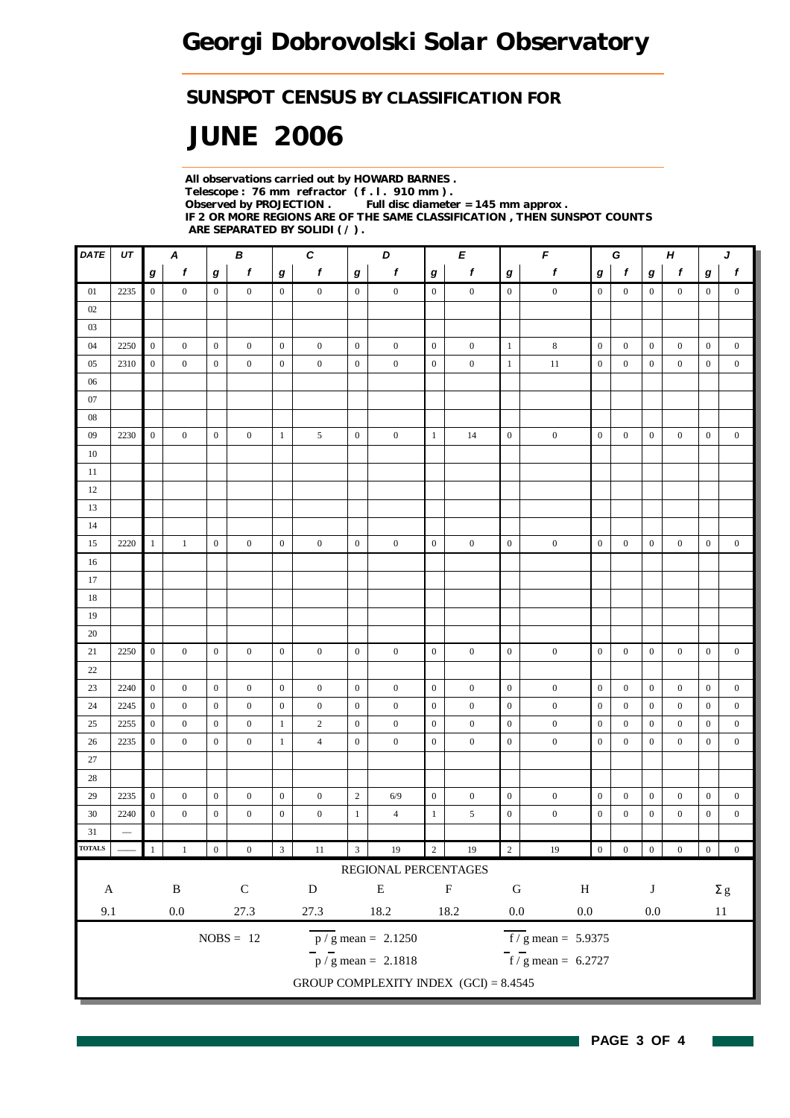### *SUNSPOT CENSUS BY CLASSIFICATION FOR*

# *JUNE 2006*

*All observations carried out by HOWARD BARNES . Telescope : 76 mm refractor ( f . l . 910 mm ) . Observed by PROJECTION . Full disc diameter = 145 mm approx . IF 2 OR MORE REGIONS ARE OF THE SAME CLASSIFICATION , THEN SUNSPOT COUNTS ARE SEPARATED BY SOLIDI ( / ) .*

| DATE              | UT              |                  | A                |                  | В                |                         | C                |                         | D                                         |                         | E                |                  | F                                |                  | G<br>$\boldsymbol{H}$ |                  | J                |                  |                  |
|-------------------|-----------------|------------------|------------------|------------------|------------------|-------------------------|------------------|-------------------------|-------------------------------------------|-------------------------|------------------|------------------|----------------------------------|------------------|-----------------------|------------------|------------------|------------------|------------------|
|                   |                 | $\bm{g}$         | $\mathbf f$      | g                | $\mathbf f$      | $\bm{g}$                | $\mathbf f$      | $\boldsymbol{g}$        | $\pmb{f}$                                 | $\boldsymbol{g}$        | $\boldsymbol{f}$ | $\bm{g}$         | $\boldsymbol{f}$                 | g                | $\mathbf f$           | $\boldsymbol{g}$ | f                | $\bm{g}$         | $\boldsymbol{f}$ |
| 01                | 2235            | $\overline{0}$   | $\boldsymbol{0}$ | $\boldsymbol{0}$ | $\mathbf{0}$     | $\overline{0}$          | $\boldsymbol{0}$ | $\overline{0}$          | $\boldsymbol{0}$                          | $\overline{0}$          | $\boldsymbol{0}$ | $\mathbf{0}$     | $\boldsymbol{0}$                 | $\boldsymbol{0}$ | $\boldsymbol{0}$      | $\overline{0}$   | $\boldsymbol{0}$ | $\overline{0}$   | $\overline{0}$   |
| 02                |                 |                  |                  |                  |                  |                         |                  |                         |                                           |                         |                  |                  |                                  |                  |                       |                  |                  |                  |                  |
| 03                |                 |                  |                  |                  |                  |                         |                  |                         |                                           |                         |                  |                  |                                  |                  |                       |                  |                  |                  |                  |
| 04                | 2250            | $\overline{0}$   | $\boldsymbol{0}$ | $\mathbf{0}$     | $\boldsymbol{0}$ | $\overline{0}$          | $\boldsymbol{0}$ | $\boldsymbol{0}$        | $\boldsymbol{0}$                          | $\mathbf{0}$            | $\boldsymbol{0}$ | $\mathbf{1}$     | $\,8\,$                          | $\mathbf{0}$     | $\boldsymbol{0}$      | $\boldsymbol{0}$ | $\boldsymbol{0}$ | $\mathbf{0}$     | $\boldsymbol{0}$ |
| 05                | 2310            | $\boldsymbol{0}$ | $\mathbf{0}$     | $\boldsymbol{0}$ | $\boldsymbol{0}$ | $\boldsymbol{0}$        | $\boldsymbol{0}$ | $\boldsymbol{0}$        | $\boldsymbol{0}$                          | $\mathbf{0}$            | $\boldsymbol{0}$ | 1                | 11                               | $\boldsymbol{0}$ | $\mathbf{0}$          | $\mathbf{0}$     | $\boldsymbol{0}$ | $\boldsymbol{0}$ | $\boldsymbol{0}$ |
| 06                |                 |                  |                  |                  |                  |                         |                  |                         |                                           |                         |                  |                  |                                  |                  |                       |                  |                  |                  |                  |
| 07                |                 |                  |                  |                  |                  |                         |                  |                         |                                           |                         |                  |                  |                                  |                  |                       |                  |                  |                  |                  |
| ${\color{red}08}$ |                 |                  |                  |                  |                  |                         |                  |                         |                                           |                         |                  |                  |                                  |                  |                       |                  |                  |                  |                  |
| 09                | 2230            | $\boldsymbol{0}$ | $\boldsymbol{0}$ | $\mathbf{0}$     | $\boldsymbol{0}$ | $\mathbf{1}$            | 5                | $\boldsymbol{0}$        | $\boldsymbol{0}$                          | $\mathbf{1}$            | 14               | $\boldsymbol{0}$ | $\boldsymbol{0}$                 | $\mathbf{0}$     | $\boldsymbol{0}$      | $\boldsymbol{0}$ | $\boldsymbol{0}$ | $\boldsymbol{0}$ | $\boldsymbol{0}$ |
| 10                |                 |                  |                  |                  |                  |                         |                  |                         |                                           |                         |                  |                  |                                  |                  |                       |                  |                  |                  |                  |
| 11                |                 |                  |                  |                  |                  |                         |                  |                         |                                           |                         |                  |                  |                                  |                  |                       |                  |                  |                  |                  |
| 12                |                 |                  |                  |                  |                  |                         |                  |                         |                                           |                         |                  |                  |                                  |                  |                       |                  |                  |                  |                  |
| 13                |                 |                  |                  |                  |                  |                         |                  |                         |                                           |                         |                  |                  |                                  |                  |                       |                  |                  |                  |                  |
| 14<br>15          | 2220            | $\mathbf{1}$     | 1                | $\boldsymbol{0}$ | $\boldsymbol{0}$ | $\overline{0}$          | $\boldsymbol{0}$ | $\boldsymbol{0}$        | $\boldsymbol{0}$                          | $\boldsymbol{0}$        | $\boldsymbol{0}$ | $\boldsymbol{0}$ | $\boldsymbol{0}$                 | $\boldsymbol{0}$ | $\boldsymbol{0}$      | $\boldsymbol{0}$ | $\boldsymbol{0}$ | $\mathbf{0}$     | $\boldsymbol{0}$ |
| 16                |                 |                  |                  |                  |                  |                         |                  |                         |                                           |                         |                  |                  |                                  |                  |                       |                  |                  |                  |                  |
| 17                |                 |                  |                  |                  |                  |                         |                  |                         |                                           |                         |                  |                  |                                  |                  |                       |                  |                  |                  |                  |
| 18                |                 |                  |                  |                  |                  |                         |                  |                         |                                           |                         |                  |                  |                                  |                  |                       |                  |                  |                  |                  |
| 19                |                 |                  |                  |                  |                  |                         |                  |                         |                                           |                         |                  |                  |                                  |                  |                       |                  |                  |                  |                  |
| 20                |                 |                  |                  |                  |                  |                         |                  |                         |                                           |                         |                  |                  |                                  |                  |                       |                  |                  |                  |                  |
| 21                | 2250            | $\overline{0}$   | $\boldsymbol{0}$ | $\boldsymbol{0}$ | $\mathbf{0}$     | $\overline{0}$          | $\boldsymbol{0}$ | $\boldsymbol{0}$        | $\boldsymbol{0}$                          | $\boldsymbol{0}$        | $\boldsymbol{0}$ | $\mathbf{0}$     | $\boldsymbol{0}$                 | $\mathbf{0}$     | $\mathbf{0}$          | $\boldsymbol{0}$ | $\boldsymbol{0}$ | $\mathbf{0}$     | $\boldsymbol{0}$ |
| 22                |                 |                  |                  |                  |                  |                         |                  |                         |                                           |                         |                  |                  |                                  |                  |                       |                  |                  |                  |                  |
| 23                | 2240            | $\mathbf{0}$     | $\boldsymbol{0}$ | $\boldsymbol{0}$ | $\boldsymbol{0}$ | $\overline{0}$          | $\boldsymbol{0}$ | $\boldsymbol{0}$        | $\boldsymbol{0}$                          | $\mathbf{0}$            | $\boldsymbol{0}$ | $\boldsymbol{0}$ | $\boldsymbol{0}$                 | $\boldsymbol{0}$ | $\boldsymbol{0}$      | $\boldsymbol{0}$ | $\boldsymbol{0}$ | $\mathbf{0}$     | $\boldsymbol{0}$ |
| 24                | 2245            | $\overline{0}$   | $\boldsymbol{0}$ | $\boldsymbol{0}$ | $\boldsymbol{0}$ | $\mathbf{0}$            | $\boldsymbol{0}$ | $\boldsymbol{0}$        | $\boldsymbol{0}$                          | $\mathbf{0}$            | $\boldsymbol{0}$ | $\boldsymbol{0}$ | $\boldsymbol{0}$                 | $\boldsymbol{0}$ | $\mathbf{0}$          | $\mathbf{0}$     | $\boldsymbol{0}$ | $\boldsymbol{0}$ | $\boldsymbol{0}$ |
| 25                | 2255            | $\boldsymbol{0}$ | $\mathbf{0}$     | $\boldsymbol{0}$ | $\mathbf{0}$     | $\mathbf{1}$            | $\overline{c}$   | $\boldsymbol{0}$        | $\mathbf{0}$                              | $\mathbf{0}$            | $\boldsymbol{0}$ | $\mathbf{0}$     | $\boldsymbol{0}$                 | $\boldsymbol{0}$ | $\mathbf{0}$          | $\mathbf{0}$     | $\overline{0}$   | $\mathbf{0}$     | $\boldsymbol{0}$ |
| 26                | 2235            | $\boldsymbol{0}$ | $\boldsymbol{0}$ | $\boldsymbol{0}$ | $\mathbf{0}$     | $\mathbf{1}$            | $\overline{4}$   | $\boldsymbol{0}$        | $\mathbf{0}$                              | $\boldsymbol{0}$        | $\mathbf{0}$     | $\boldsymbol{0}$ | $\boldsymbol{0}$                 | $\boldsymbol{0}$ | $\mathbf{0}$          | $\mathbf{0}$     | $\boldsymbol{0}$ | $\boldsymbol{0}$ | $\mathbf{0}$     |
| $27\,$            |                 |                  |                  |                  |                  |                         |                  |                         |                                           |                         |                  |                  |                                  |                  |                       |                  |                  |                  |                  |
| 28                |                 |                  |                  |                  |                  |                         |                  |                         |                                           |                         |                  |                  |                                  |                  |                       |                  |                  |                  |                  |
| 29                | 2235            | $\boldsymbol{0}$ | $\boldsymbol{0}$ | $\boldsymbol{0}$ | $\boldsymbol{0}$ | $\boldsymbol{0}$        | $\boldsymbol{0}$ | $\sqrt{2}$              | 6/9                                       | $\boldsymbol{0}$        | $\boldsymbol{0}$ | $\boldsymbol{0}$ | $\boldsymbol{0}$                 | $\boldsymbol{0}$ | $\boldsymbol{0}$      | $\boldsymbol{0}$ | $\boldsymbol{0}$ | $\boldsymbol{0}$ | $\boldsymbol{0}$ |
| 30                | 2240            | $\boldsymbol{0}$ | $\boldsymbol{0}$ | $\boldsymbol{0}$ | $\boldsymbol{0}$ | $\mathbf{0}$            | $\boldsymbol{0}$ | $\mathbf{1}$            | $\overline{4}$                            | $\mathbf{1}$            | 5                | $\boldsymbol{0}$ | $\boldsymbol{0}$                 | $\boldsymbol{0}$ | $\boldsymbol{0}$      | $\boldsymbol{0}$ | $\boldsymbol{0}$ | $\boldsymbol{0}$ | $\boldsymbol{0}$ |
| 31                | $\qquad \qquad$ |                  |                  |                  |                  |                         |                  |                         |                                           |                         |                  |                  |                                  |                  |                       |                  |                  |                  |                  |
| <b>TOTALS</b>     |                 |                  | $\mathbf{1}$     | $\boldsymbol{0}$ | $\boldsymbol{0}$ | $\overline{\mathbf{3}}$ | $11\,$           | $\overline{\mathbf{3}}$ | 19                                        | $\overline{\mathbf{2}}$ | 19               | $\overline{2}$   | 19                               | $\boldsymbol{0}$ | $\boldsymbol{0}$      | $\boldsymbol{0}$ | $\boldsymbol{0}$ | $\overline{0}$   | $\boldsymbol{0}$ |
|                   |                 |                  |                  |                  |                  |                         |                  |                         | REGIONAL PERCENTAGES                      |                         |                  |                  |                                  |                  |                       |                  |                  |                  |                  |
| $\mathbf{A}$      |                 |                  | $\, {\bf B}$     |                  | ${\bf C}$        |                         | ${\bf D}$        |                         | ${\bf E}$                                 |                         | $\mathbf F$      | ${\bf G}$        | $\, {\rm H}$                     |                  |                       | J                |                  |                  | $\Sigma$ g       |
| 9.1               |                 |                  | $0.0\,$          |                  | 27.3             |                         | 27.3             |                         | 18.2                                      |                         | 18.2             | $0.0\,$          | $0.0\,$                          |                  |                       | $0.0\,$          |                  |                  | $11\,$           |
|                   |                 |                  |                  |                  | $NOBS = 12$      |                         |                  |                         | $\frac{\text{p}}{\text{s}}$ mean = 2.1250 |                         |                  |                  | $\overline{f}$ / g mean = 5.9375 |                  |                       |                  |                  |                  |                  |
|                   |                 |                  |                  |                  |                  |                         |                  |                         | $\frac{1}{p}$ / g mean = 2.1818           |                         |                  |                  | $f / g$ mean = 6.2727            |                  |                       |                  |                  |                  |                  |
|                   |                 |                  |                  |                  |                  |                         |                  |                         | GROUP COMPLEXITY INDEX $(GCI) = 8.4545$   |                         |                  |                  |                                  |                  |                       |                  |                  |                  |                  |
|                   |                 |                  |                  |                  |                  |                         |                  |                         |                                           |                         |                  |                  |                                  |                  |                       |                  |                  |                  |                  |

H